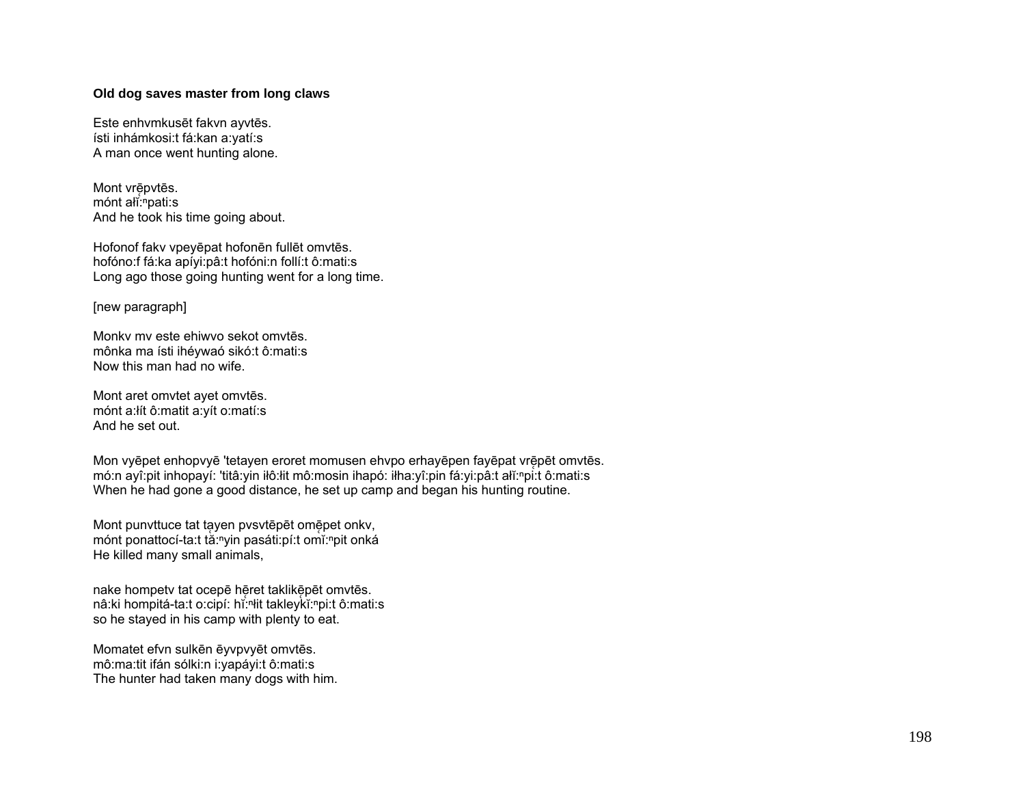### Old dog saves master from long claws

Este enhymkusēt fakvn avvtēs. ísti inhámkosi:t fá:kan a:yatí:s A man once went hunting alone.

Mont vrēpvtēs. mónt ali: "pati:s And he took his time going about.

Hofonof fakv vpeyēpat hofonēn fullēt omvtēs. hofóno:f fá:ka apíyi:pâ:t hofóni:n follí:t ô:mati:s Long ago those going hunting went for a long time.

[new paragraph]

Monky my este ehiwyo sekot omytes. mônka ma ísti ihévwaó sikó:t ô:mati:s Now this man had no wife.

Mont aret omvtet avet omvtēs. mónt a:lít ô:matit a:yít o:matí:s And he set out.

Mon vyēpet enhopvyē 'tetayen eroret momusen ehvpo erhayēpen fayēpat vrēpēt omvtēs. mó:n ayî:pit inhopayí: 'titâ:yin ilô:lit mô:mosin ihapó: ilha:yî:pin fá:yi:pâ:t alĭ:npi:t ô:mati:s When he had gone a good distance, he set up camp and began his hunting routine.

Mont punvttuce tat tayen pvsvtēpēt omēpet onkv, mónt ponattocí-ta:t tă:"yin pasáti:pí:t omĭ:"pit onká He killed many small animals,

nake hompetv tat ocepē hēret taklikēpēt omvtēs. nâ:ki hompitá-ta:t o:cipí: hǐ:<sup>n</sup>it takleykǐ:<sup>n</sup>pi:t ô:mati:s so he stayed in his camp with plenty to eat.

Momatet efvn sulkēn ēyvpvyēt omvtēs. mô:ma:tit ifán sólki:n i:yapáyi:t ô:mati:s The hunter had taken many dogs with him.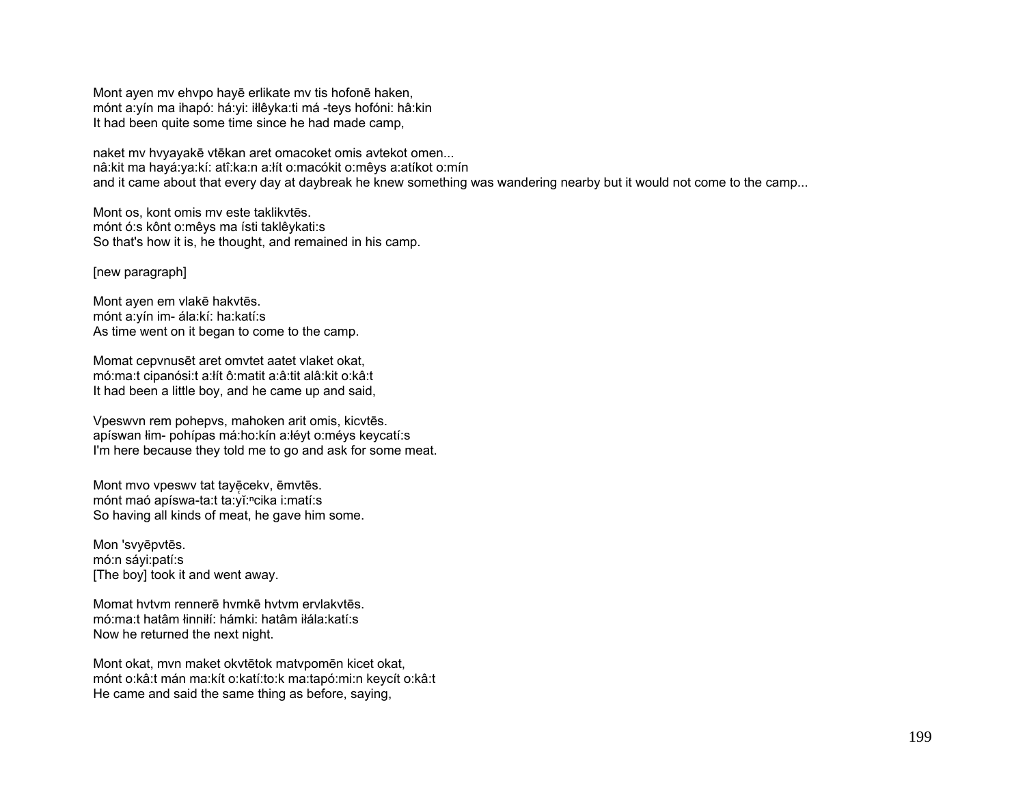Mont ayen mv ehvpo hayē erlikate mv tis hofonē haken, mónt a:yín ma ihapó: há:yi: iłlêyka:ti má -teys hofóni: hâ:kin It had been quite some time since he had made camp,

naket mv hvyayakē vtēkan aret omacoket omis avtekot omen... nâ:kit ma hayá:ya:kí: atî:ka:n a:łít o:macókit o:mêys a:atíkot o:mín and it came about that every day at daybreak he knew something was wandering nearby but it would not come to the camp...

Mont os, kont omis mv este taklikvtēs. mónt ó:s kônt o:mêys ma ísti taklêykati:s So that's how it is, he thought, and remained in his camp.

#### [new paragraph]

Mont ayen em vlakē hakvtēs. mónt a:yín im- ála:kí: ha:katí:s As time went on it began to come to the camp.

Momat cepvnusēt aret omvtet aatet vlaket okat, mó:ma:t cipanósi:t a:łít ô:matit a:â:tit alâ:kit o:kâ:t It had been a little boy, and he came up and said,

Vpeswvn rem pohepvs, mahoken arit omis, kicvtēs. apíswan łim- pohípas má:ho:kín a:łéyt o:méys keycatí:s I'm here because they told me to go and ask for some meat.

Mont mvo vpeswy tat tayēceky, ēmvtēs. mónt maó apíswa-ta:t ta:vĭ:<sup>n</sup>cika i:matí:s So having all kinds of meat, he gave him some.

Mon 'svyēpvtēs. mó:n sáyi:patí:s [The boy] took it and went away.

Momat hvtvm rennerē hvmkē hvtvm ervlakvtēs. mó:ma:t hatâm łinniłí: hámki: hatâm iłála:katí:s Now he returned the next night.

Mont okat, mvn maket okvtētok matvpomēn kicet okat, mónt o:kâ:t mán ma:kít o:katí:to:k ma:tapó:mi:n keycít o:kâ:t He came and said the same thing as before, saying,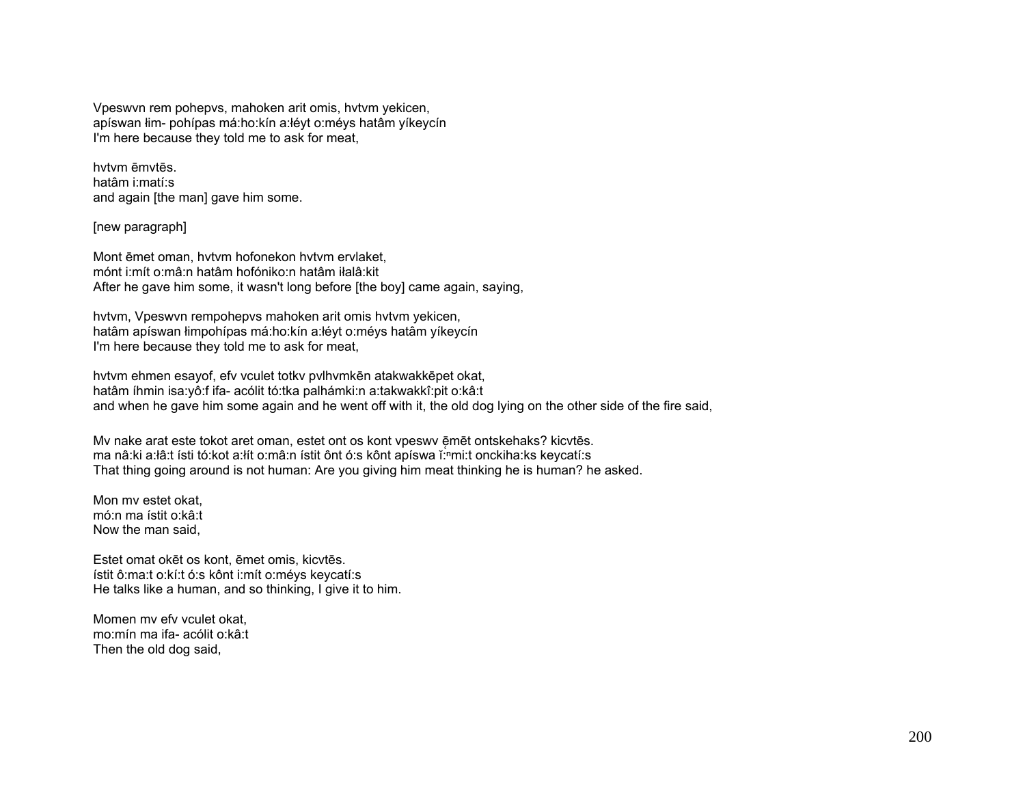Vpeswvn rem pohepvs, mahoken arit omis, hvtvm yekicen, apíswan łim- pohípas má:ho:kín a:łéyt o:méys hatâm yíkeycín I'm here because they told me to ask for meat,

hvtvm ēmvtēs. hatâm i:matí:s and again [the man] gave him some.

[new paragraph]

Mont ēmet oman, hvtvm hofonekon hvtvm ervlaket, mónt i:mít o:mâ:n hatâm hofóniko:n hatâm iłalâ:kit After he gave him some, it wasn't long before [the boy] came again, saying,

hvtvm, Vpeswvn rempohepvs mahoken arit omis hvtvm yekicen, hatâm apíswan łimpohípas má:ho:kín a:łéyt o:méys hatâm yíkeycín I'm here because they told me to ask for meat,

hvtvm ehmen esayof, efv vculet totkv pvlhvmkēn atakwakkēpet okat, hatâm íhmin isa:yô:f ifa- acólit tó:tka palhámki:n a:takwakkî:pit o:kâ:t and when he gave him some again and he went off with it, the old dog lying on the other side of the fire said,

Mv nake arat este tokot aret oman, estet ont os kont vpeswv ēmēt ontskehaks? kicvtēs. ma nâ:ki a:łâ:t ísti tó:kot a:łít o:mâ:n ístit ônt ó:s kônt apíswa ĭ:ʰmi:t onckiha:ks keycatí:s That thing going around is not human: Are you giving him meat thinking he is human? he asked.

Mon mv estet okat, mó:n ma ístit o:kâ:t Now the man said,

Estet omat okēt os kont, ēmet omis, kicvtēs. ístit ô:ma:t o:kí:t ó:s kônt i:mít o:méys keycatí:s He talks like a human, and so thinking, I give it to him.

Momen mv efv vculet okat, mo:mín ma ifa- acólit o:kâ:t Then the old dog said,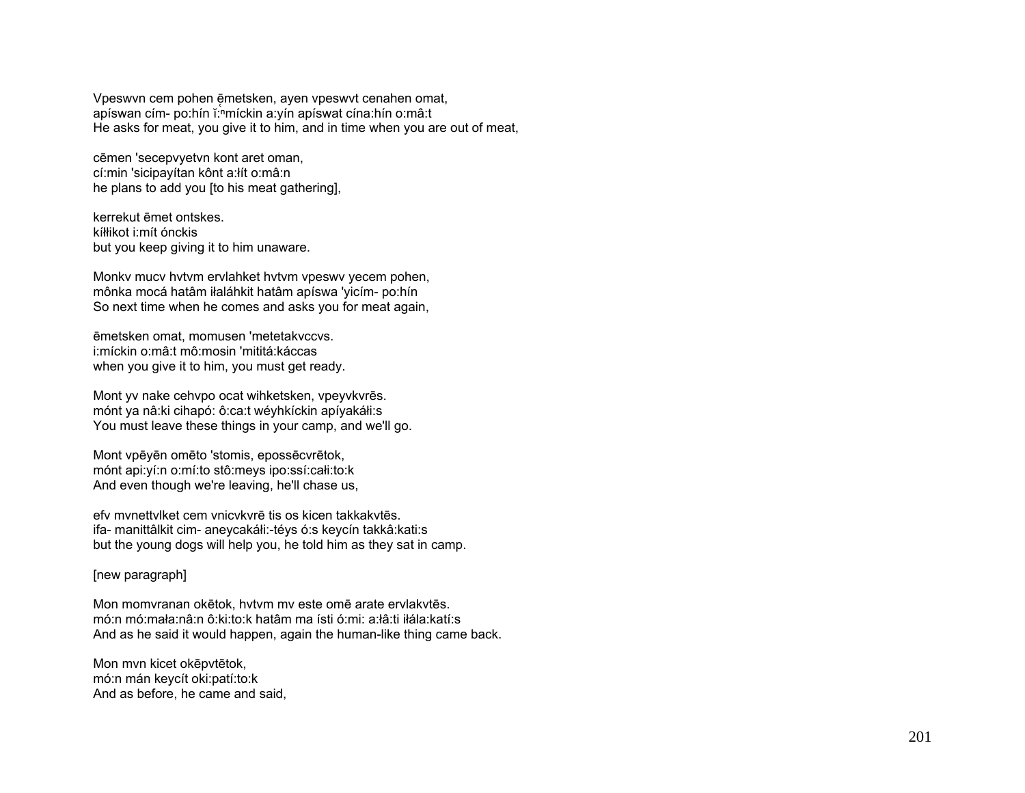Vpeswyn cem pohen ēmetsken, ayen vpeswyt cenahen omat, apíswan cím- po:hín ĭ: míckin a:yín apíswat cína:hín o:mâ:t He asks for meat, you give it to him, and in time when you are out of meat,

cēmen 'secepvyetvn kont aret oman, cí:min 'sicipayítan kônt a:lít o:mâ:n he plans to add you [to his meat gathering],

kerrekut ēmet ontskes kíłłikot i:mít ónckis but you keep giving it to him unaware.

Monky mucy hytym ervlahket hytym ypeswy yecem pohen, mônka mocá hatâm iłaláhkit hatâm apíswa 'yicím- po:hín So next time when he comes and asks you for meat again,

ēmetsken omat. momusen 'metetakyccys. i:míckin o:mâ:t mô:mosin 'mititá:káccas when you give it to him, you must get ready.

Mont yv nake cehvpo ocat wihketsken, vpeyvkvrēs. mónt ya nâ: ki cihapó: ô: ca: t wéyhkíckin apíyakáłi: s You must leave these things in your camp, and we'll go.

Mont vpēyēn omēto 'stomis, epossēcvrētok, mónt api:yí:n o:mí:to stô:meys ipo:ssí:całi:to:k And even though we're leaving, he'll chase us,

efy mynettylket cem ynicykyrē tis os kicen takkakytēs. ifa- manittâlkit cim- aneycakáłi:-téys ó:s keycín takkâ:kati:s but the young dogs will help you, he told him as they sat in camp.

# [new paragraph]

Mon momvranan okētok, hytym my este omē arate erylakytēs. mó:n mó:mała:nâ:n ô:ki:to:k hatâm ma ísti ó:mi: a:łâ:ti iłála:katí:s And as he said it would happen, again the human-like thing came back.

Mon mvn kicet okēpvtētok, mó:n mán keycít oki:patí:to:k And as before, he came and said,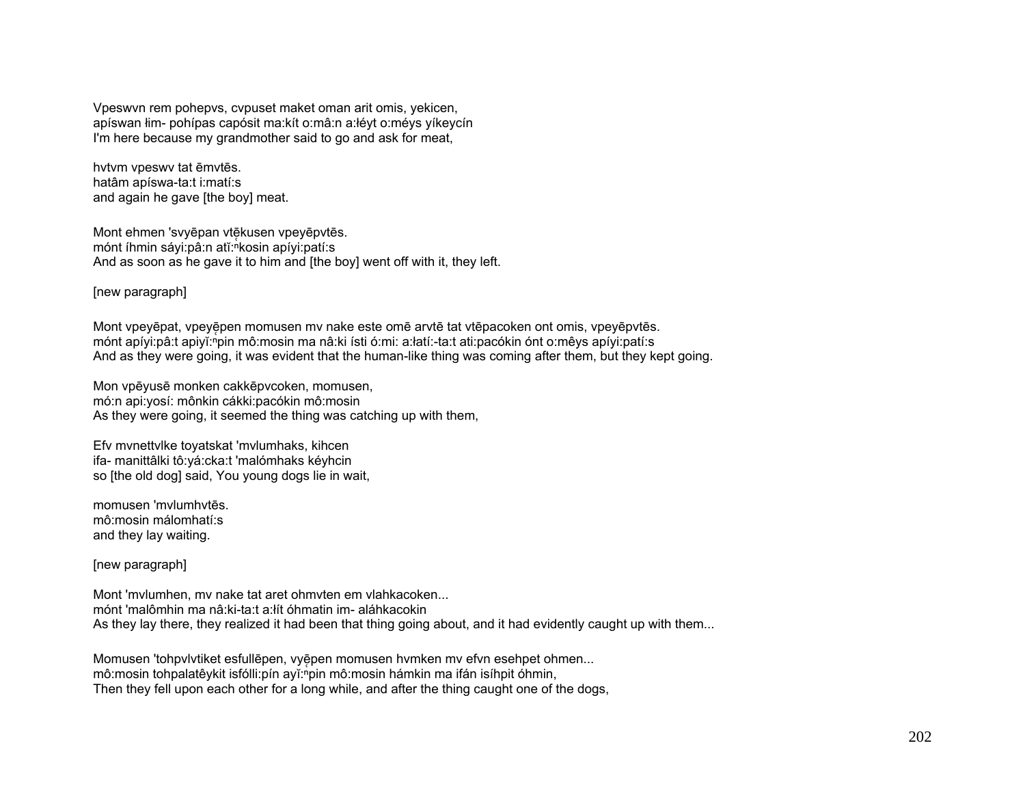Vpeswvn rem pohepvs, cvpuset maket oman arit omis, yekicen, apíswan łim- pohípas capósit ma:kít o:mâ:n a:łéyt o:méys yíkeycín I'm here because my grandmother said to go and ask for meat,

hvtvm vpeswv tat ēmvtēs. hatâm apíswa-ta:t i:matí:s and again he gave [the boy] meat.

Mont ehmen 'svyēpan vtēkusen vpeyēpvtēs. mónt íhmin sáyi:pâ:n atĭ:ʰkosin apíyi:patí:s And as soon as he gave it to him and [the boy] went off with it, they left.

[new paragraph]

Mont vpeyēpat, vpeyēpen momusen mv nake este omē arvtē tat vtēpacoken ont omis, vpeyēpvtēs. mónt apíyi:pâ:t apiyĭ:<sup>ⁿ</sup>pin mô:mosin ma nâ:ki ísti ó:mi: a:łatí:-ta:t ati:pacókin ónt o:mêys apíyi:patí:s And as they were going, it was evident that the human-like thing was coming after them, but they kept going.

Mon vpēyusē monken cakkēpvcoken, momusen, mó:n api:yosí: mônkin cákki:pacókin mô:mosin As they were going, it seemed the thing was catching up with them,

Efv mvnettvlke toyatskat 'mvlumhaks, kihcen ifa- manittâlki tô:yá:cka:t 'malómhaks kéyhcin so [the old dog] said, You young dogs lie in wait,

momusen 'mvlumhvtēs. mô:mosin málomhatí:s and they lay waiting.

[new paragraph]

Mont 'mvlumhen, mv nake tat aret ohmvten em vlahkacoken... mónt 'malômhin ma nâ:ki-ta:t a:łít óhmatin im- aláhkacokin As they lay there, they realized it had been that thing going about, and it had evidently caught up with them...

Momusen 'tohpvlytiket esfullēpen, vyēpen momusen hymken my efyn esehpet ohmen... mô:mosin tohpalatêykit isfólli:pín ayĭ:ʰpin mô:mosin hámkin ma ifán isíhpit óhmin, Then they fell upon each other for a long while, and after the thing caught one of the dogs,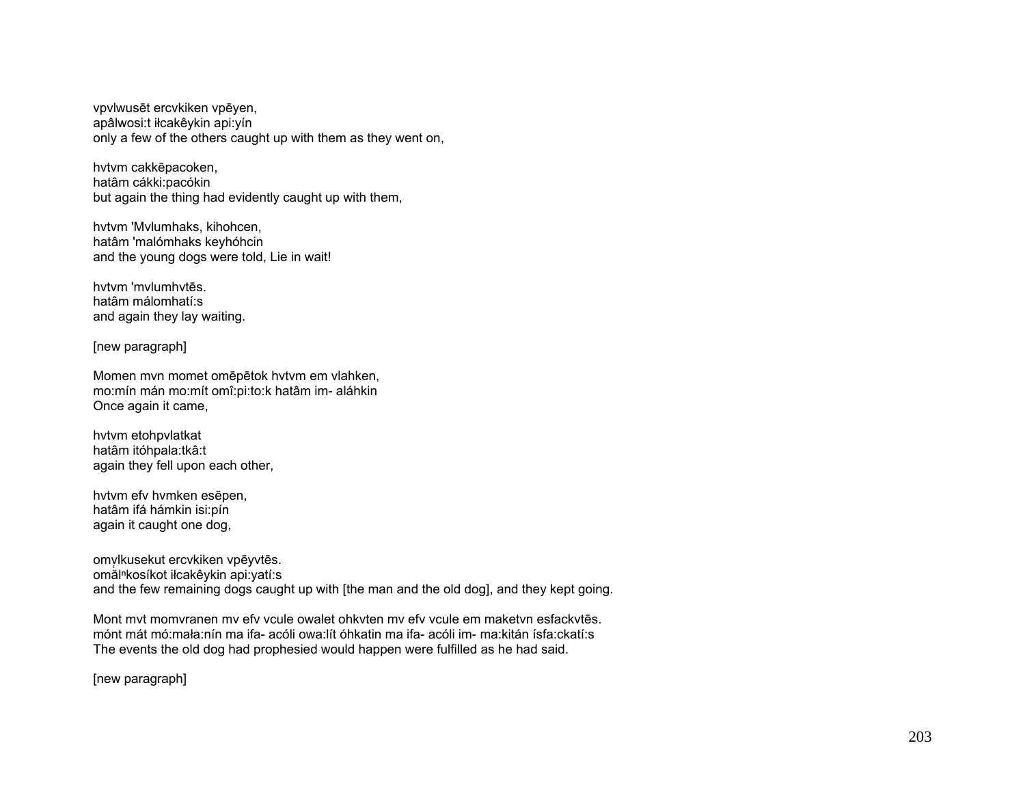vpvlwusēt ercvkiken vpēyen, apâlwosi:t iłcakêykin api:yín only a few of the others caught up with them as they went on,

hvtvm cakkēpacoken, hatâm cákki:pacókin but again the thing had evidently caught up with them,

hvtvm 'Mvlumhaks, kihohcen, hatâm 'malómhaks keyhóhcin and the young dogs were told, Lie in wait!

hvtvm 'mvlumhvtēs. hatâm málomhatí:s and again they lay waiting.

[new paragraph]

Momen mvn momet omēpētok hvtvm em vlahken, mo:mín mán mo:mít omî:pi:to:k hatâm im- aláhkin Once again it came,

hvtvm etohpvlatkat hatâm itóhpala:tkâ:t again they fell upon each other,

hvtvm efv hvmken esēpen, hatâm ifá hámkin isi:pín again it caught one dog,

omv ̜lkusekut ercvkiken vpēyvtēs. omălⁿkosíkot iłcakêykin api:yatí:s and the few remaining dogs caught up with [the man and the old dog], and they kept going.

Mont mvt momvranen mv efv vcule owalet ohkvten mv efv vcule em maketvn esfackvtēs. mónt mát mó:mała:nín ma ifa- acóli owa:lít óhkatin ma ifa- acóli im- ma:kitán ísfa:ckatí:s The events the old dog had prophesied would happen were fulfilled as he had said.

[new paragraph]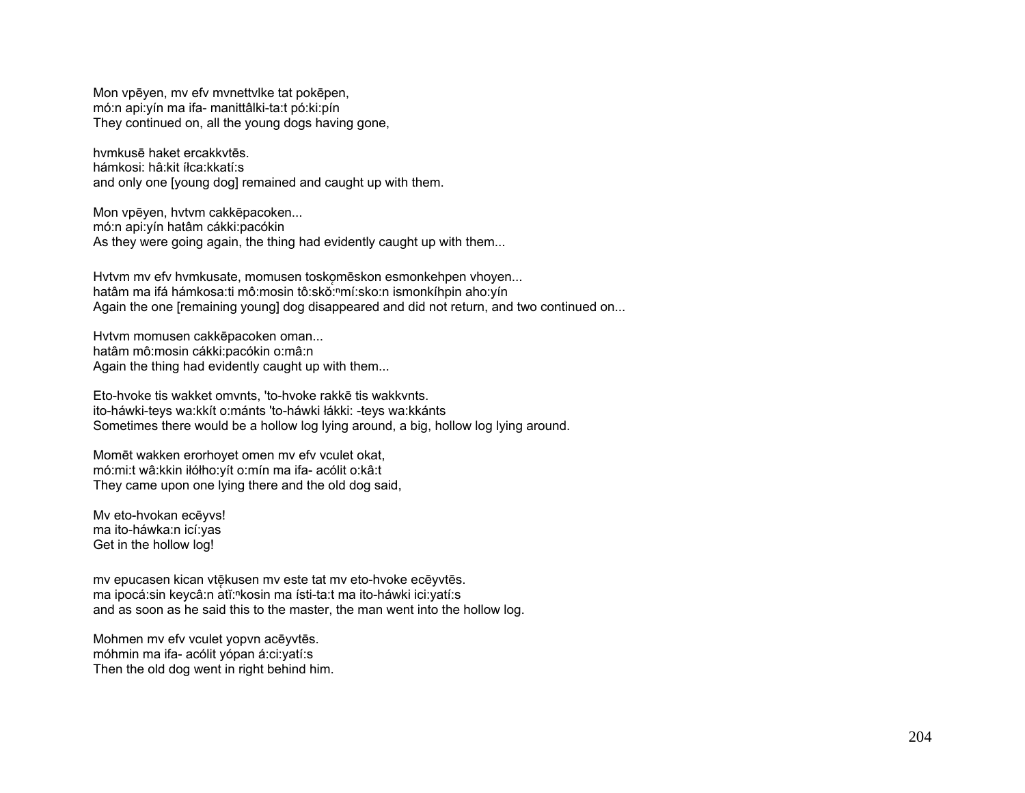Mon vpēyen, mv efv mvnettvlke tat pokēpen, mó:n api:yín ma ifa- manittâlki-ta:t pó:ki:pín They continued on, all the young dogs having gone,

hvmkusē haket ercakkvtēs. hámkosi: hâ:kit íłca:kkatí:s and only one [young dog] remained and caught up with them.

Mon vpēyen, hvtvm cakkēpacoken... mó:n api:yín hatâm cákki:pacókin As they were going again, the thing had evidently caught up with them...

Hytym my efy hymkusate, momusen toskomēskon esmonkehpen vhoyen... hatâm ma ifá hámkosa:ti mô:mosin tô:skŏ:<sup>n</sup>mí:sko:n ismonkíhpin aho:yín Again the one [remaining young] dog disappeared and did not return, and two continued on...

Hvtvm momusen cakkēpacoken oman... hatâm mô:mosin cákki:pacókin o:mâ:n Again the thing had evidently caught up with them...

Eto-hvoke tis wakket omvnts, 'to-hvoke rakkē tis wakkvnts. ito-háwki-teys wa:kkít o:mánts 'to-háwki łákki: -teys wa:kkánts Sometimes there would be a hollow log lying around, a big, hollow log lying around.

Momēt wakken erorhoyet omen mv efv vculet okat, mó:mi:t wâ:kkin iłółho:yít o:mín ma ifa- acólit o:kâ:t They came upon one lying there and the old dog said,

Mv eto-hvokan ecēyvs! ma ito-háwka:n icí:yas Get in the hollow log!

mv epucasen kican vtēkusen mv este tat mv eto-hvoke ecēyvtēs. ma ipocá:sin keycâ:n atĭ:"kosin ma ísti-ta:t ma ito-háwki ici:yatí:s and as soon as he said this to the master, the man went into the hollow log.

Mohmen mv efv vculet yopvn acēyvtēs. móhmin ma ifa- acólit yópan á:ci:yatí:s Then the old dog went in right behind him.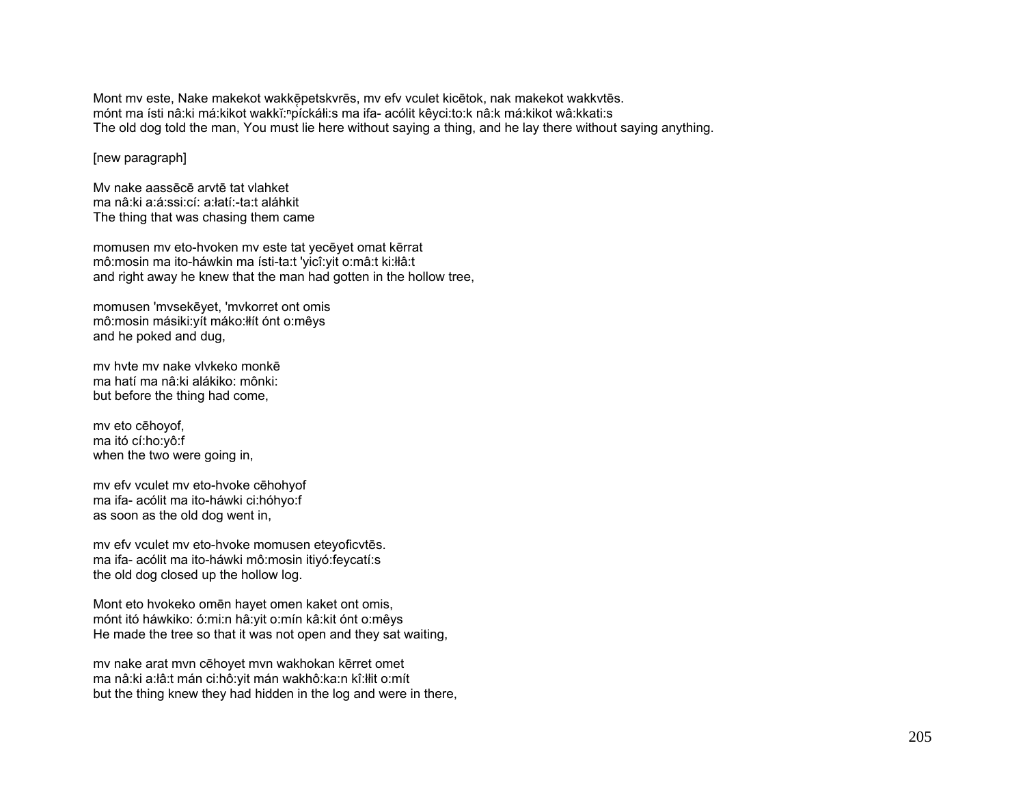Mont my este, Nake makekot wakkē petskvrēs, my efy vculet kicētok, nak makekot wakkytēs. mónt ma ísti nâ:ki má:kikot wakkĭ:"píckáłi:s ma ifa- acólit kêyci:to:k nâ:k má:kikot wâ:kkati:s The old dog told the man, You must lie here without saying a thing, and he lay there without saying anything.

[new paragraph]

Mv nake aassēcē arvtē tat vlahket ma nâ:ki a:á:ssi:cí: a:łatí:-ta:t aláhkit The thing that was chasing them came

momusen mv eto-hvoken mv este tat yecēyet omat kērrat mô:mosin ma ito-háwkin ma ísti-ta:t 'yicî:yit o:mâ:t ki:łłâ:t and right away he knew that the man had gotten in the hollow tree,

momusen 'mvsekēyet, 'mvkorret ont omis mô:mosin másiki:yít máko:łłít ónt o:mêys and he poked and dug,

mv hvte mv nake vlvkeko monkēma hatí ma nâ:ki alákiko: mônki: but before the thing had come,

mv eto cēhoyof, ma itó cí:ho:yô:f when the two were going in,

mv efv vculet mv eto-hvoke cēhohyof ma ifa- acólit ma ito-háwki ci:hóhyo:f as soon as the old dog went in,

mv efv vculet mv eto-hvoke momusen eteyoficvtēs. ma ifa- acólit ma ito-háwki mô:mosin itiyó:feycatí:s the old dog closed up the hollow log.

Mont eto hvokeko omēn hayet omen kaket ont omis, mónt itó háwkiko: ó:mi:n hâ:yit o:mín kâ:kit ónt o:mêys He made the tree so that it was not open and they sat waiting,

mv nake arat mvn cēhoyet mvn wakhokan kērret omet ma nâ:ki a:łâ:t mán ci:hô:yit mán wakhô:ka:n kî:łłit o:mít but the thing knew they had hidden in the log and were in there,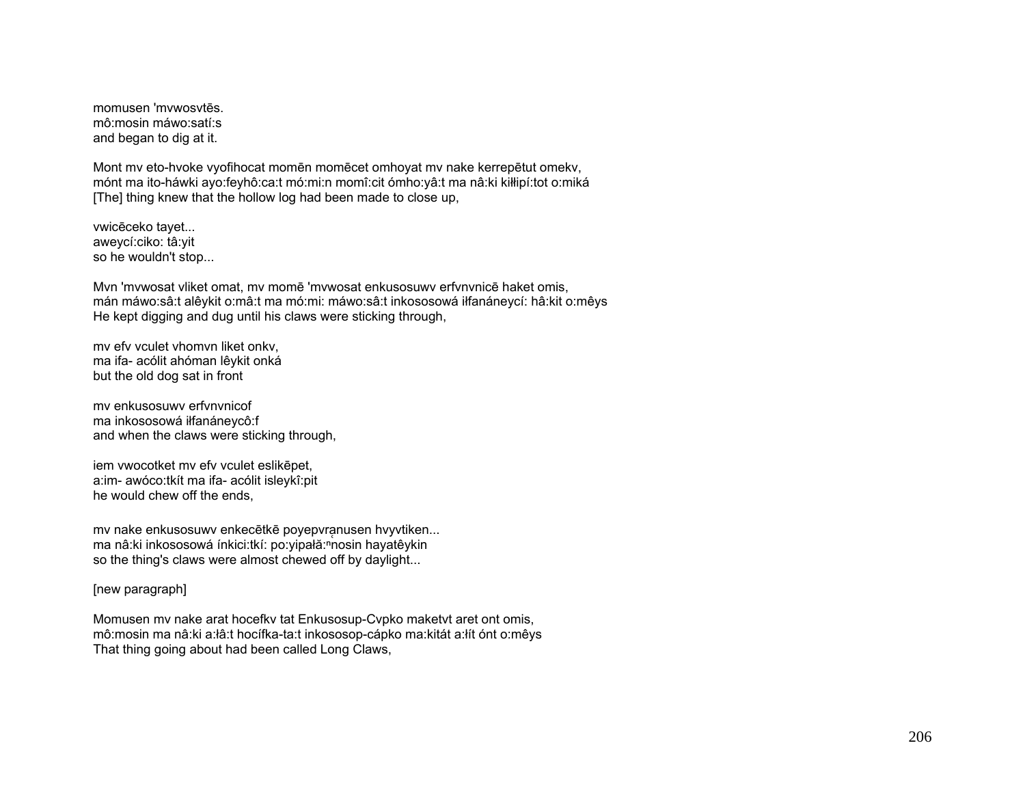momusen 'mvwosvtēs. mô:mosin máwo:satí:s and began to dig at it.

Mont mv eto-hvoke vyofihocat momēn momēcet omhoyat mv nake kerrepētut omekv, mónt ma ito-háwki ayo:feyhô:ca:t mó:mi:n momî:cit ómho:yâ:t ma nâ:ki kiłłipí:tot o:miká [The] thing knew that the hollow log had been made to close up,

vwicēceko tayet... aweycí:ciko: tâ:yit so he wouldn't stop...

Mvn 'mvwosat vliket omat, mv momē 'mvwosat enkusosuwv erfvnvnicē haket omis, mán máwo:sâ:t alêykit o:mâ:t ma mó:mi: máwo:sâ:t inkososowá iłfanáneycí: hâ:kit o:mêys He kept digging and dug until his claws were sticking through,

mv efv vculet vhomvn liket onkv, ma ifa- acólit ahóman lêykit onká but the old dog sat in front

mv enkusosuwv erfvnvnicof ma inkososowá iłfanáneycô:f and when the claws were sticking through,

iem vwocotket mv efv vculet eslikēpet, a:im- awóco:tkít ma ifa- acólit isleykî:pit he would chew off the ends,

mv nake enkusosuwv enkecētkē poyepvranusen hvyvtiken... ma nâ:ki inkososowá ínkici:tkí: po:yipałă:<sup>n</sup>nosin hayatêykin so the thing's claws were almost chewed off by daylight...

# [new paragraph]

Momusen mv nake arat hocefkv tat Enkusosup-Cvpko maketvt aret ont omis, mô:mosin ma nâ:ki a:łâ:t hocífka-ta:t inkososop-cápko ma:kitát a:łít ónt o:mêys That thing going about had been called Long Claws,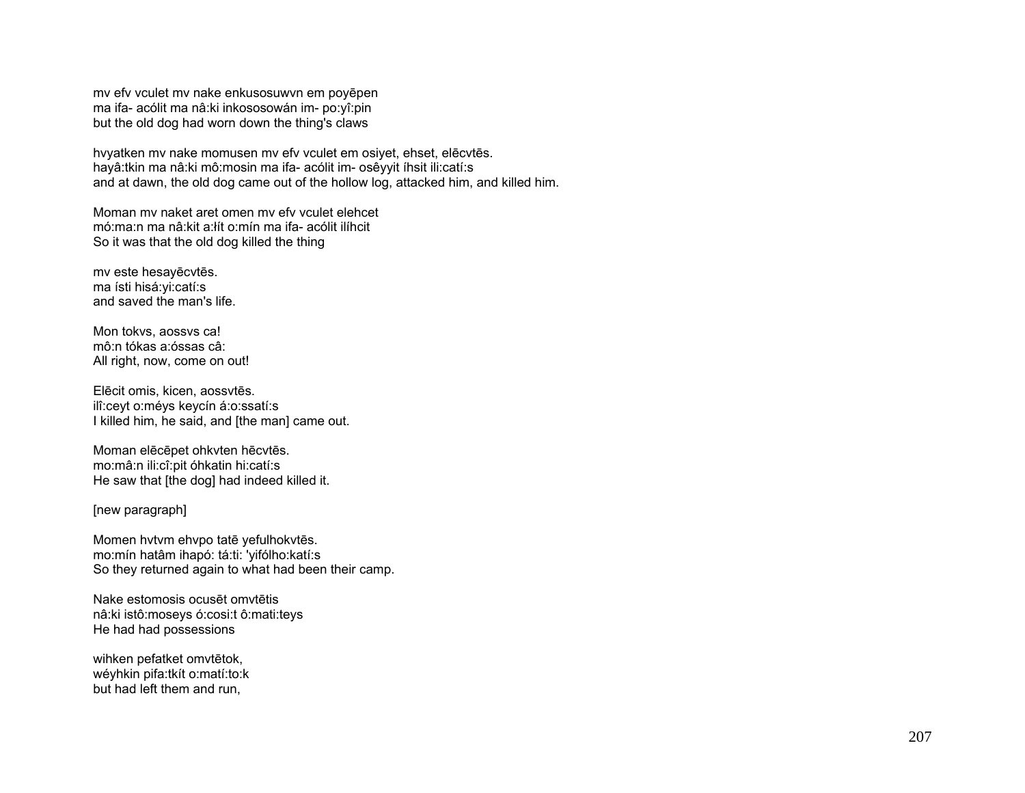my efy youlet my nake enkusosuwyn em poyepen ma ifa- acólit ma nâ: ki inkososowán im- po: yî: pin but the old dog had worn down the thing's claws

hvyatken mv nake momusen mv efv vculet em osiyet, ehset, elēcvtēs. havâ:tkin ma nâ:ki mô:mosin ma ifa- acólit im- osêvvit íhsit ili:catí:s and at dawn, the old dog came out of the hollow log, attacked him, and killed him.

Moman my naket aret omen my efy youlet elehoet mó:ma:n ma nâ:kit a:lít o:mín ma ifa- acólit ilíhcit So it was that the old dog killed the thing

mv este hesayēcvtēs. ma ísti hisá: yi: catí: s and saved the man's life

Mon tokys, aossys ca! mô:n tókas a:óssas câ: All right, now, come on out!

Elēcit omis, kicen, aossvtēs. ilî:ceyt o:méys keycín á:o:ssatí:s I killed him, he said, and [the man] came out.

Moman elēcēpet ohkvten hēcvtēs. mo:mâ:n ili:cî:pit óhkatin hi:catí:s He saw that [the dog] had indeed killed it.

[new paragraph]

Momen hvtvm ehvpo tatē yefulhokvtēs. mo:mín hatâm ihapó: tá:ti: 'yifólho:katí:s So they returned again to what had been their camp.

Nake estomosis ocusēt omvtētis nâ:ki istô:moseys ó:cosi:t ô:mati:teys He had had possessions

wihken pefatket omvtētok, wéyhkin pifa:tkít o:matí:to:k but had left them and run,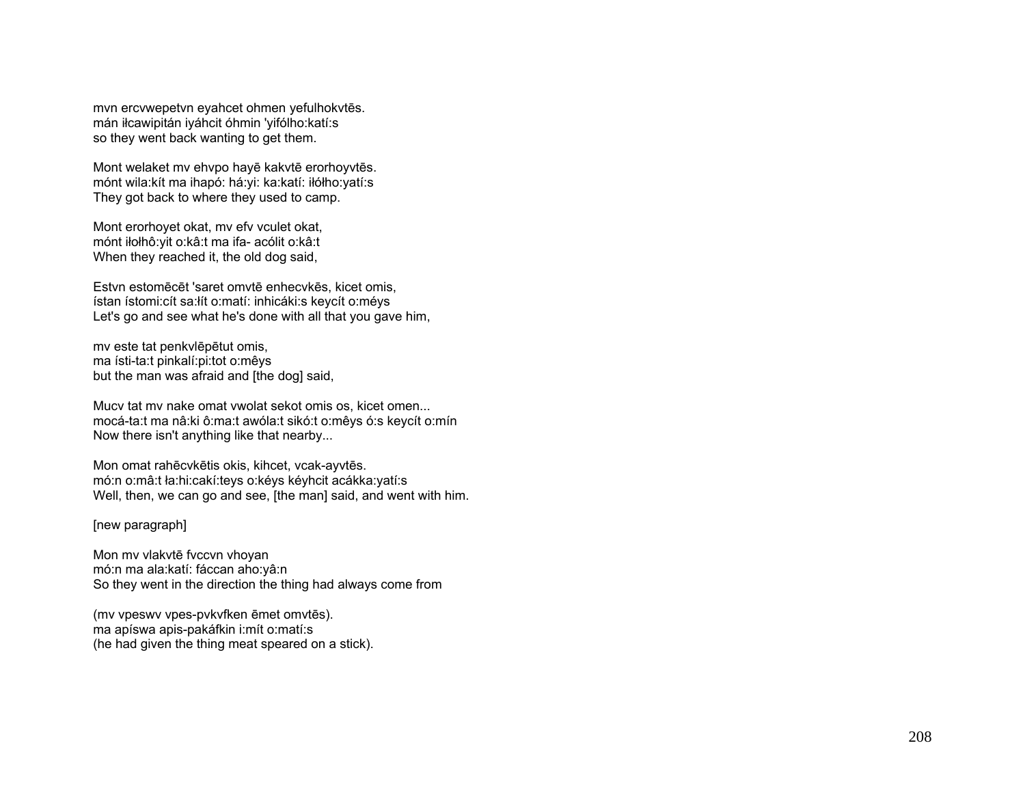mvn ercvwepetvn eyahcet ohmen yefulhokvt ēs. mán iłcawipitán iyáhcit óhmin 'yifólho:katí:s so they went back wanting to get them.

Mont welaket mv ehvpo hay ē kakvt ē erorhoyvt ēs. mónt wila:kít ma ihapó: há:yi: ka:katí: iłółho:yatí:s They got back to where they used to camp.

Mont erorhoyet okat, mv efv vculet okat, mónt iłołhô:yit o:kâ:t ma ifa- acólit o:kâ:t When they reached it, the old dog said,

Estvn estomē c ēt 'saret omvt ē enhecvk ēs, kicet omis, ístan ístomi:cít sa:łít o:matí: inhicáki:s keycít o:méys Let's go and see what he's done with all that you gave him,

mv este tat penkvl ēp ētut omis, ma ísti-ta:t pinkalí:pi:tot o:mêys but the man was afraid and [the dog] said,

Mucv tat mv nake omat vwolat sekot omis os, kicet omen... mocá-ta:t ma nâ:ki ô:ma:t awóla:t sikó:t o:mêys ó:s keycít o:mín Now there isn't anything like that nearby...

Mon omat rah ēcvk ētis okis, kihcet, vcak-ayvt ēs. mó:n o:mâ:t ła:hi:cakí:teys o:kéys kéyhcit acákka:yatí:s Well, then, we can go and see, [the man] said, and went with him.

### [new paragraph]

Mon mv vlakvt ē fvccvn vhoyan mó:n ma ala:katí: fáccan aho:yâ:n So they went in the direction the thing had always come from

(mv vpeswv vpes-pvkvfken ēmet omvt ēs). ma apíswa apis-pakáfkin i:mít o:matí:s (he had given the thing meat speared on a stick).